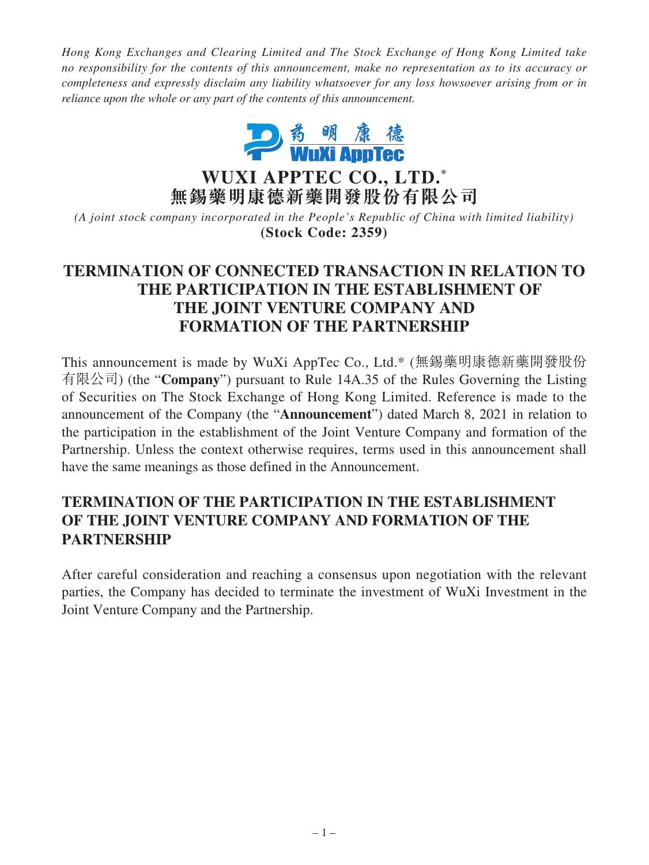*Hong Kong Exchanges and Clearing Limited and The Stock Exchange of Hong Kong Limited take no responsibility for the contents of this announcement, make no representation as to its accuracy or completeness and expressly disclaim any liability whatsoever for any loss howsoever arising from or in reliance upon the whole or any part of the contents of this announcement.*



**WUXI APPTEC CO., LTD. \* 無錫藥明康德新藥開發股份有限公司**

*(A joint stock company incorporated in the People's Republic of China with limited liability)* **(Stock Code: 2359)**

## **TERMINATION OF CONNECTED TRANSACTION IN RELATION TO THE PARTICIPATION IN THE ESTABLISHMENT OF THE JOINT VENTURE COMPANY AND FORMATION OF THE PARTNERSHIP**

This announcement is made by WuXi AppTec Co., Ltd.\* (無錫藥明康德新藥開發股份 有限公司) (the "**Company**") pursuant to Rule 14A.35 of the Rules Governing the Listing of Securities on The Stock Exchange of Hong Kong Limited. Reference is made to the announcement of the Company (the "**Announcement**") dated March 8, 2021 in relation to the participation in the establishment of the Joint Venture Company and formation of the Partnership. Unless the context otherwise requires, terms used in this announcement shall have the same meanings as those defined in the Announcement.

## **TERMINATION OF THE PARTICIPATION IN THE ESTABLISHMENT OF THE JOINT VENTURE COMPANY AND FORMATION OF THE PARTNERSHIP**

After careful consideration and reaching a consensus upon negotiation with the relevant parties, the Company has decided to terminate the investment of WuXi Investment in the Joint Venture Company and the Partnership.